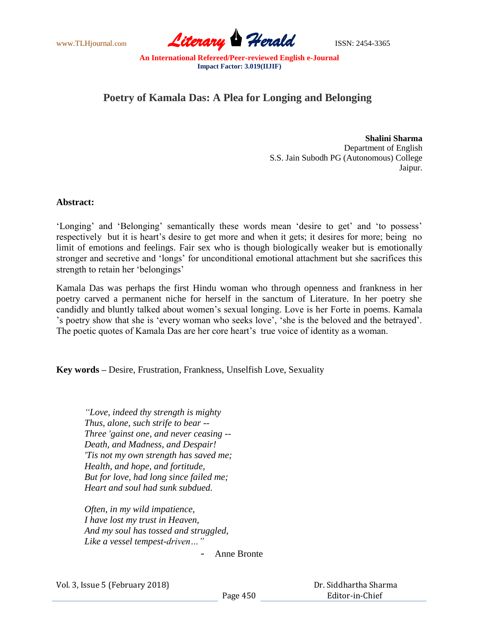

## **Poetry of Kamala Das: A Plea for Longing and Belonging**

**Shalini Sharma** Department of English S.S. Jain Subodh PG (Autonomous) College Jaipur.

## **Abstract:**

'Longing' and 'Belonging' semantically these words mean 'desire to get' and 'to possess' respectively but it is heart's desire to get more and when it gets; it desires for more; being no limit of emotions and feelings. Fair sex who is though biologically weaker but is emotionally stronger and secretive and "longs" for unconditional emotional attachment but she sacrifices this strength to retain her "belongings"

Kamala Das was perhaps the first Hindu woman who through openness and frankness in her poetry carved a permanent niche for herself in the sanctum of Literature. In her poetry she candidly and bluntly talked about women"s sexual longing. Love is her Forte in poems. Kamala "s poetry show that she is "every woman who seeks love", "she is the beloved and the betrayed". The poetic quotes of Kamala Das are her core heart's true voice of identity as a woman.

**Key words –** Desire, Frustration, Frankness, Unselfish Love, Sexuality

*"Love, indeed thy strength is mighty Thus, alone, such strife to bear -- Three 'gainst one, and never ceasing -- Death, and Madness, and Despair! 'Tis not my own strength has saved me; Health, and hope, and fortitude, But for love, had long since failed me; Heart and soul had sunk subdued.*

*Often, in my wild impatience, I have lost my trust in Heaven, And my soul has tossed and struggled, Like a vessel tempest-driven…"*

**-** Anne Bronte

Vol. 3, Issue 5 (February 2018)

 Dr. Siddhartha Sharma Editor-in-Chief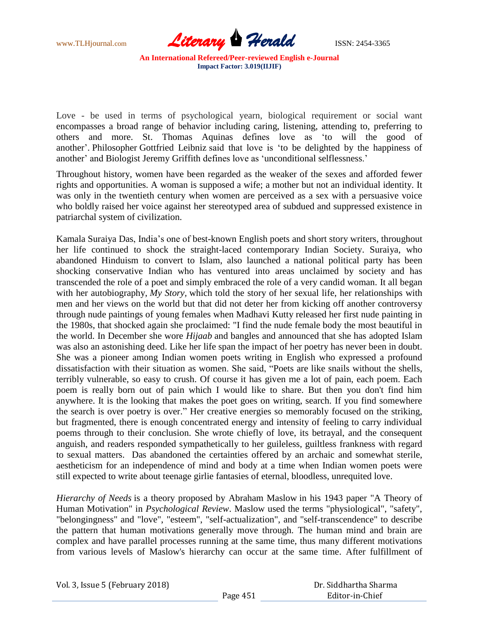

Love - be used in terms of psychological yearn, biological requirement or social want encompasses a broad range of behavior including caring, listening, attending to, preferring to others and more. St. Thomas Aquinas defines love as "to will the good of another". Philosopher Gottfried Leibniz said that love is "to be delighted by the happiness of another' and Biologist Jeremy Griffith defines love as 'unconditional selflessness.'

Throughout history, women have been regarded as the weaker of the sexes and afforded fewer rights and opportunities. A woman is supposed a wife; a mother but not an individual identity. It was only in the twentieth century when women are perceived as a sex with a persuasive voice who boldly raised her voice against her stereotyped area of subdued and suppressed existence in patriarchal system of civilization.

Kamala Suraiya Das, India"s one of best-known English poets and short story writers, throughout her life continued to shock the straight-laced contemporary Indian Society. Suraiya, who abandoned Hinduism to convert to Islam, also launched a national political party has been shocking conservative Indian who has ventured into areas unclaimed by society and has transcended the role of a poet and simply embraced the role of a very candid woman. It all began with her autobiography, *My Story,* which told the story of her sexual life, her relationships with men and her views on the world but that did not deter her from kicking off another controversy through nude paintings of young females when Madhavi Kutty released her first nude painting in the 1980s, that shocked again she proclaimed: "I find the nude female body the most beautiful in the world. In December she wore *Hijaab* and bangles and announced that she has adopted Islam was also an astonishing deed. Like her life span the impact of her poetry has never been in doubt. She was a pioneer among Indian women poets writing in English who expressed a profound dissatisfaction with their situation as women. She said, "Poets are like snails without the shells, terribly vulnerable, so easy to crush. Of course it has given me a lot of pain, each poem. Each poem is really born out of pain which I would like to share. But then you don't find him anywhere. It is the looking that makes the poet goes on writing, search. If you find somewhere the search is over poetry is over." Her creative energies so memorably focused on the striking, but fragmented, there is enough concentrated energy and intensity of feeling to carry individual poems through to their conclusion. She wrote chiefly of love, its betrayal, and the consequent anguish, and readers responded sympathetically to her guileless, guiltless frankness with regard to sexual matters. Das abandoned the certainties offered by an archaic and somewhat sterile, aestheticism for an independence of mind and body at a time when Indian women poets were still expected to write about teenage girlie fantasies of eternal, bloodless, unrequited love.

*Hierarchy of Needs* is a theory proposed by Abraham Maslow in his 1943 paper "A Theory of Human Motivation" in *Psychological Review*. Maslow used the terms "physiological", "safety", "belongingness" and "love", "esteem", "self-actualization", and "self-transcendence" to describe the pattern that human motivations generally move through. The human mind and brain are complex and have parallel processes running at the same time, thus many different motivations from various levels of Maslow's hierarchy can occur at the same time. After fulfillment of

| Vol. 3, Issue 5 (February 2018) | Dr. Siddhartha Sharma |                 |
|---------------------------------|-----------------------|-----------------|
|                                 | Page 451              | Editor-in-Chief |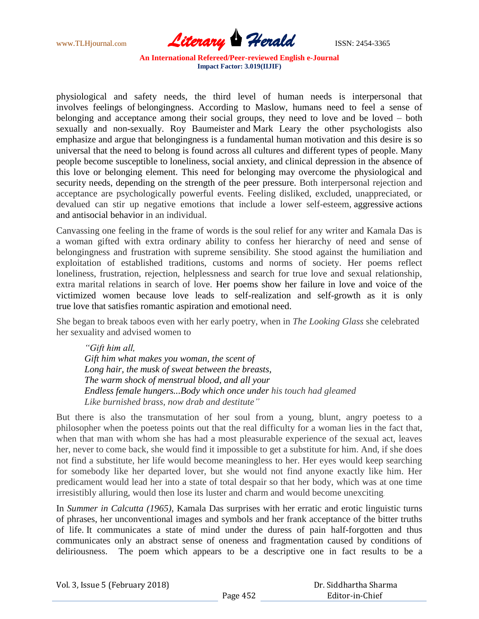

physiological and safety needs, the third level of human needs is interpersonal that involves feelings of belongingness. According to Maslow, humans need to feel a sense of belonging and acceptance among their social groups, they need to love and be loved – both sexually and non-sexually. Roy Baumeister and Mark Leary the other psychologists also emphasize and argue that belongingness is a fundamental human motivation and this desire is so universal that the need to belong is found across all cultures and different types of people. Many people become susceptible to loneliness, social anxiety, and clinical depression in the absence of this love or belonging element. This need for belonging may overcome the physiological and security needs, depending on the strength of the peer pressure. Both interpersonal rejection and acceptance are psychologically powerful events. Feeling disliked, excluded, unappreciated, or devalued can stir up negative emotions that include a lower self-esteem, aggressive actions and antisocial behavior in an individual.

Canvassing one feeling in the frame of words is the soul relief for any writer and Kamala Das is a woman gifted with extra ordinary ability to confess her hierarchy of need and sense of belongingness and frustration with supreme sensibility. She stood against the humiliation and exploitation of established traditions, customs and norms of society. Her poems reflect loneliness, frustration, rejection, helplessness and search for true love and sexual relationship, extra marital relations in search of love. Her poems show her failure in love and voice of the victimized women because love leads to self-realization and self-growth as it is only true love that satisfies romantic aspiration and emotional need.

She began to break taboos even with her early poetry, when in *The Looking Glass* she celebrated her sexuality and advised women to

*"Gift him all, Gift him what makes you woman, the scent of Long hair, the musk of sweat between the breasts, The warm shock of menstrual blood, and all your Endless female hungers...Body which once under his touch had gleamed Like burnished brass, now drab and destitute"*

But there is also the transmutation of her soul from a young, blunt, angry poetess to a philosopher when the poetess points out that the real difficulty for a woman lies in the fact that, when that man with whom she has had a most pleasurable experience of the sexual act, leaves her, never to come back, she would find it impossible to get a substitute for him. And, if she does not find a substitute, her life would become meaningless to her. Her eyes would keep searching for somebody like her departed lover, but she would not find anyone exactly like him. Her predicament would lead her into a state of total despair so that her body, which was at one time irresistibly alluring, would then lose its luster and charm and would become unexciting.

In *Summer in Calcutta (1965)*, Kamala Das surprises with her erratic and erotic linguistic turns of phrases, her unconventional images and symbols and her frank acceptance of the bitter truths of life. It communicates a state of mind under the duress of pain half-forgotten and thus communicates only an abstract sense of oneness and fragmentation caused by conditions of deliriousness. The poem which appears to be a descriptive one in fact results to be a

| Vol. 3, Issue 5 (February 2018) |  |  |
|---------------------------------|--|--|
|---------------------------------|--|--|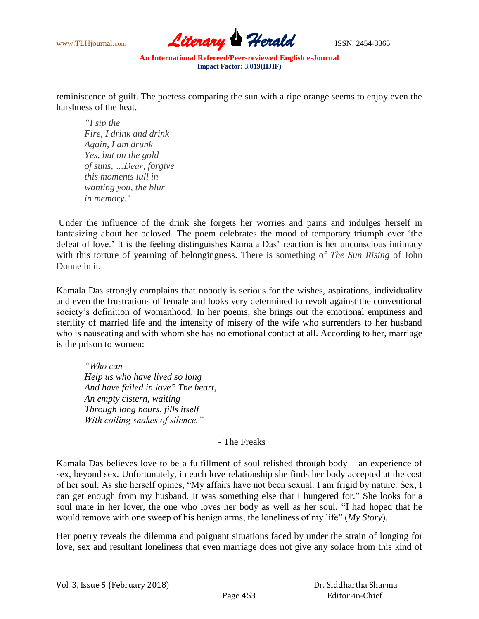

reminiscence of guilt. The poetess comparing the sun with a ripe orange seems to enjoy even the harshness of the heat.

*"I sip the Fire, I drink and drink Again, I am drunk Yes, but on the gold of suns, …Dear, forgive this moments lull in wanting you, the blur in memory."*

Under the influence of the drink she forgets her worries and pains and indulges herself in fantasizing about her beloved. The poem celebrates the mood of temporary triumph over "the defeat of love." It is the feeling distinguishes Kamala Das" reaction is her unconscious intimacy with this torture of yearning of belongingness. There is something of *The Sun Rising* of John Donne in it.

Kamala Das strongly complains that nobody is serious for the wishes, aspirations, individuality and even the frustrations of female and looks very determined to revolt against the conventional society's definition of womanhood. In her poems, she brings out the emotional emptiness and sterility of married life and the intensity of misery of the wife who surrenders to her husband who is nauseating and with whom she has no emotional contact at all. According to her, marriage is the prison to women:

*"Who can Help us who have lived so long And have failed in love? The heart, An empty cistern, waiting Through long hours, fills itself With coiling snakes of silence."*

- The Freaks

Kamala Das believes love to be a fulfillment of soul relished through body – an experience of sex, beyond sex. Unfortunately, in each love relationship she finds her body accepted at the cost of her soul. As she herself opines, "My affairs have not been sexual. I am frigid by nature. Sex, I can get enough from my husband. It was something else that I hungered for." She looks for a soul mate in her lover, the one who loves her body as well as her soul. "I had hoped that he would remove with one sweep of his benign arms, the loneliness of my life" (*My Story*).

Her poetry reveals the dilemma and poignant situations faced by under the strain of longing for love, sex and resultant loneliness that even marriage does not give any solace from this kind of

|  |  |  |  | Vol. 3, Issue 5 (February 2018) |  |
|--|--|--|--|---------------------------------|--|
|--|--|--|--|---------------------------------|--|

| Dr. Siddhartha Sharma |
|-----------------------|
| Editor-in-Chief       |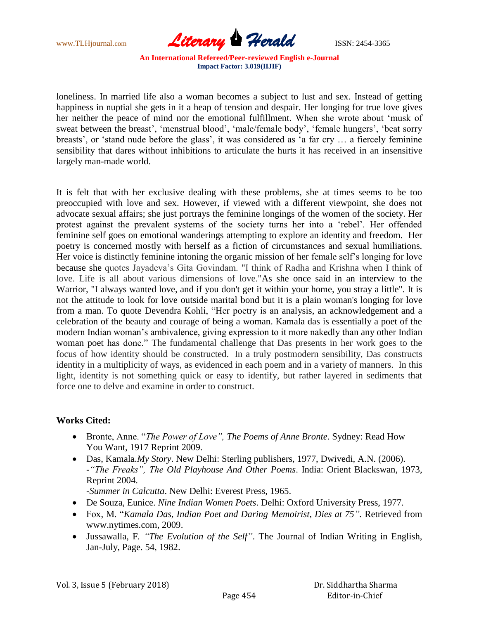

loneliness. In married life also a woman becomes a subject to lust and sex. Instead of getting happiness in nuptial she gets in it a heap of tension and despair. Her longing for true love gives her neither the peace of mind nor the emotional fulfillment. When she wrote about "musk of sweat between the breast', 'menstrual blood', 'male/female body', 'female hungers', 'beat sorry breasts', or 'stand nude before the glass', it was considered as 'a far cry ... a fiercely feminine sensibility that dares without inhibitions to articulate the hurts it has received in an insensitive largely man-made world.

It is felt that with her exclusive dealing with these problems, she at times seems to be too preoccupied with love and sex. However, if viewed with a different viewpoint, she does not advocate sexual affairs; she just portrays the feminine longings of the women of the society. Her protest against the prevalent systems of the society turns her into a "rebel". Her offended feminine self goes on emotional wanderings attempting to explore an identity and freedom. Her poetry is concerned mostly with herself as a fiction of circumstances and sexual humiliations. Her voice is distinctly feminine intoning the organic mission of her female self's longing for love because she quotes Jayadeva"s Gita Govindam. "I think of Radha and Krishna when I think of love. Life is all about various dimensions of love."As she once said in an interview to the Warrior, "I always wanted love, and if you don't get it within your home, you stray a little". It is not the attitude to look for love outside marital bond but it is a plain woman's longing for love from a man. To quote Devendra Kohli, "Her poetry is an analysis, an acknowledgement and a celebration of the beauty and courage of being a woman. Kamala das is essentially a poet of the modern Indian woman"s ambivalence, giving expression to it more nakedly than any other Indian woman poet has done." The fundamental challenge that Das presents in her work goes to the focus of how identity should be constructed. In a truly postmodern sensibility, Das constructs identity in a multiplicity of ways, as evidenced in each poem and in a variety of manners. In this light, identity is not something quick or easy to identify, but rather layered in sediments that force one to delve and examine in order to construct.

## **Works Cited:**

- Bronte, Anne. "*The Power of Love", The Poems of Anne Bronte*. Sydney: Read How You Want, 1917 Reprint 2009.
- Das, Kamala.*My Story*. New Delhi: Sterling publishers, 1977, Dwivedi, A.N. (2006). -*"The Freaks", The Old Playhouse And Other Poems*. India: Orient Blackswan, 1973, Reprint 2004.

*-Summer in Calcutta*. New Delhi: Everest Press, 1965.

- De Souza, Eunice. *Nine Indian Women Poets*. Delhi: Oxford University Press, 1977.
- Fox, M. "*Kamala Das, Indian Poet and Daring Memoirist, Dies at 75".* Retrieved from www.nytimes.com, 2009.
- Jussawalla, F*. "The Evolution of the Self"*. The Journal of Indian Writing in English, Jan-July, Page. 54, 1982.